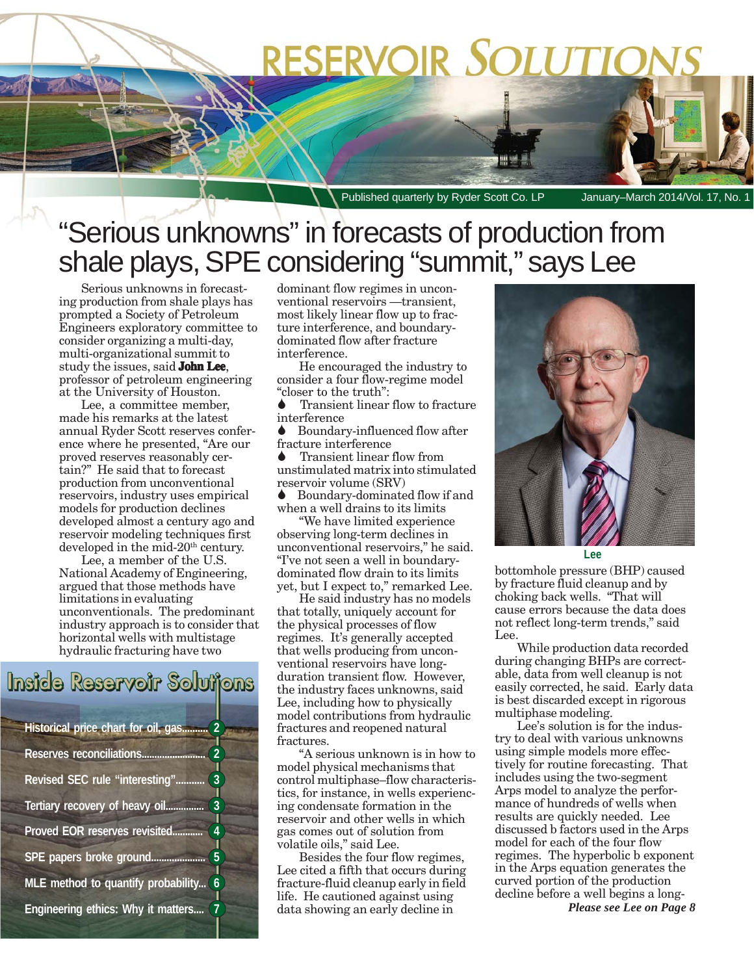# **RESERVOIR SOLUTIO**

Published quarterly by Ryder Scott Co. LP January–March 2014/Vol. 17, No.

# "Serious unknowns" in forecasts of production from shale plays, SPE considering "summit," says Lee

Serious unknowns in forecasting production from shale plays has prompted a Society of Petroleum Engineers exploratory committee to consider organizing a multi-day, multi-organizational summit to study the issues, said **John Lee**, professor of petroleum engineering at the University of Houston.

Lee, a committee member, made his remarks at the latest annual Ryder Scott reserves conference where he presented, "Are our proved reserves reasonably certain?" He said that to forecast production from unconventional reservoirs, industry uses empirical models for production declines developed almost a century ago and reservoir modeling techniques first developed in the mid-20<sup>th</sup> century.

Lee, a member of the U.S. National Academy of Engineering, argued that those methods have limitations in evaluating unconventionals. The predominant industry approach is to consider that horizontal wells with multistage hydraulic fracturing have two

### Inside Reservoir Soluijons

**Historical price chart for oil, gas.......... 2 Reserves reconciliations......................... 2 Revised SEC rule "interesting"........... 3 Tertiary recovery of heavy oil............... 3 Proved EOR reserves revisited............ 4 SPE papers broke ground..................... 5 MLE method to quantify probability... 6 Engineering ethics: Why it matters.... 7**

dominant flow regimes in unconventional reservoirs —transient, most likely linear flow up to fracture interference, and boundarydominated flow after fracture interference.

He encouraged the industry to consider a four flow-regime model "closer to the truth":

Transient linear flow to fracture interference

Boundary-influenced flow after fracture interference

Transient linear flow from unstimulated matrix into stimulated reservoir volume (SRV)

Boundary-dominated flow if and when a well drains to its limits

"We have limited experience observing long-term declines in unconventional reservoirs," he said. "I've not seen a well in boundarydominated flow drain to its limits yet, but I expect to," remarked Lee.

He said industry has no models that totally, uniquely account for the physical processes of flow regimes. It's generally accepted that wells producing from unconventional reservoirs have longduration transient flow. However, the industry faces unknowns, said Lee, including how to physically model contributions from hydraulic fractures and reopened natural fractures.

"A serious unknown is in how to model physical mechanisms that control multiphase–flow characteristics, for instance, in wells experiencing condensate formation in the reservoir and other wells in which gas comes out of solution from volatile oils," said Lee.

Besides the four flow regimes, Lee cited a fifth that occurs during fracture-fluid cleanup early in field life. He cautioned against using data showing an early decline in



**Lee**

bottomhole pressure (BHP) caused by fracture fluid cleanup and by choking back wells. "That will cause errors because the data does not reflect long-term trends," said Lee.

While production data recorded during changing BHPs are correctable, data from well cleanup is not easily corrected, he said. Early data is best discarded except in rigorous multiphase modeling.

Lee's solution is for the industry to deal with various unknowns using simple models more effectively for routine forecasting. That includes using the two-segment Arps model to analyze the performance of hundreds of wells when results are quickly needed. Lee discussed b factors used in the Arps model for each of the four flow regimes. The hyperbolic b exponent in the Arps equation generates the curved portion of the production decline before a well begins a long-*Please see Lee on Page 8*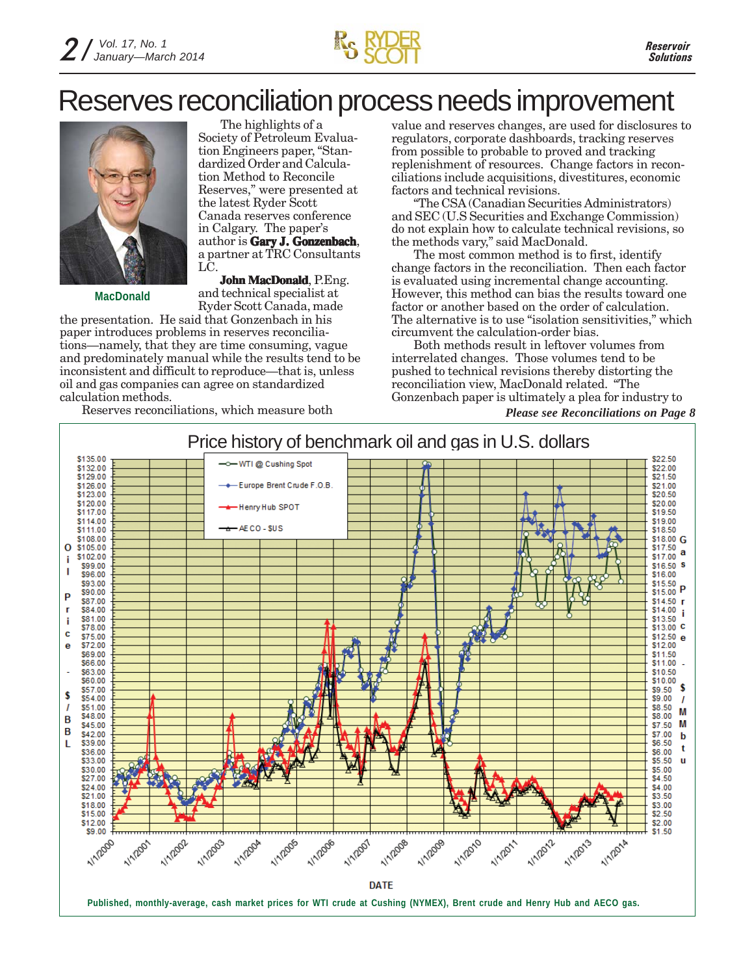

### Reserves reconciliation process needs improvement



**MacDonald**

The highlights of a Society of Petroleum Evaluation Engineers paper, "Standardized Order and Calculation Method to Reconcile Reserves," were presented at the latest Ryder Scott Canada reserves conference in Calgary. The paper's author is **Gary J. Gonzenbach**, a partner at TRC Consultants LC.

**John MacDonald**, P.Eng. and technical specialist at Ryder Scott Canada, made

the presentation. He said that Gonzenbach in his paper introduces problems in reserves reconciliations—namely, that they are time consuming, vague and predominately manual while the results tend to be inconsistent and difficult to reproduce—that is, unless oil and gas companies can agree on standardized calculation methods.

Reserves reconciliations, which measure both *Please see Reconciliations on Page 8*

value and reserves changes, are used for disclosures to regulators, corporate dashboards, tracking reserves from possible to probable to proved and tracking replenishment of resources. Change factors in reconciliations include acquisitions, divestitures, economic factors and technical revisions.

"The CSA (Canadian Securities Administrators) and SEC (U.S Securities and Exchange Commission) do not explain how to calculate technical revisions, so the methods vary," said MacDonald.

The most common method is to first, identify change factors in the reconciliation. Then each factor is evaluated using incremental change accounting. However, this method can bias the results toward one factor or another based on the order of calculation. The alternative is to use "isolation sensitivities," which circumvent the calculation-order bias.

Both methods result in leftover volumes from interrelated changes. Those volumes tend to be pushed to technical revisions thereby distorting the reconciliation view, MacDonald related. "The Gonzenbach paper is ultimately a plea for industry to

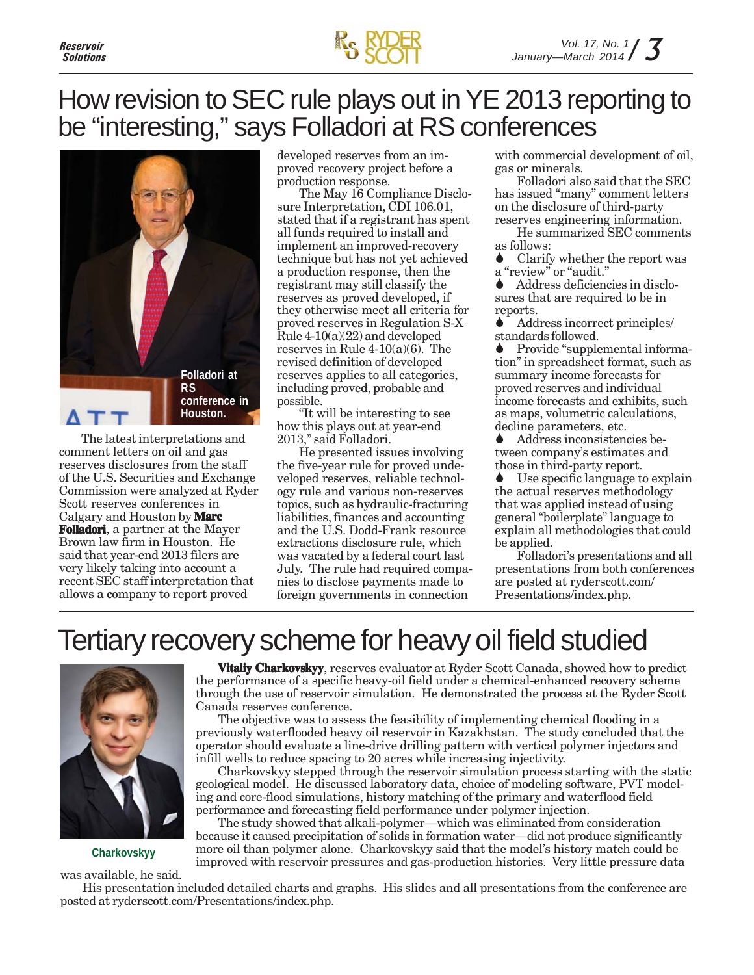

### How revision to SEC rule plays out in YE 2013 reporting to be "interesting," says Folladori at RS conferences



The latest interpretations and comment letters on oil and gas reserves disclosures from the staff of the U.S. Securities and Exchange Commission were analyzed at Ryder Scott reserves conferences in Calgary and Houston by **Marc Folladori**, a partner at the Mayer Brown law firm in Houston. He said that year-end 2013 filers are very likely taking into account a recent SEC staff interpretation that allows a company to report proved

developed reserves from an improved recovery project before a production response.

The May 16 Compliance Disclosure Interpretation, CDI 106.01, stated that if a registrant has spent all funds required to install and implement an improved-recovery technique but has not yet achieved a production response, then the registrant may still classify the reserves as proved developed, if they otherwise meet all criteria for proved reserves in Regulation S-X Rule 4-10(a)(22) and developed reserves in Rule  $4\n-10(a)(6)$ . The revised definition of developed reserves applies to all categories, including proved, probable and possible.

"It will be interesting to see how this plays out at year-end 2013," said Folladori.

He presented issues involving the five-year rule for proved undeveloped reserves, reliable technology rule and various non-reserves topics, such as hydraulic-fracturing liabilities, finances and accounting and the U.S. Dodd-Frank resource extractions disclosure rule, which was vacated by a federal court last July. The rule had required companies to disclose payments made to foreign governments in connection

with commercial development of oil, gas or minerals.

Folladori also said that the SEC has issued "many" comment letters on the disclosure of third-party reserves engineering information.

He summarized SEC comments as follows:

• Clarify whether the report was a "review" or "audit."

Address deficiencies in disclosures that are required to be in reports.

Address incorrect principles/ standards followed.

Provide "supplemental information" in spreadsheet format, such as summary income forecasts for proved reserves and individual income forecasts and exhibits, such as maps, volumetric calculations, decline parameters, etc.

Address inconsistencies between company's estimates and those in third-party report.

Use specific language to explain the actual reserves methodology that was applied instead of using general "boilerplate" language to explain all methodologies that could be applied.

Folladori's presentations and all presentations from both conferences are posted at ryderscott.com/ Presentations/index.php.

# Tertiary recovery scheme for heavy oil field studied



**Charkovskyy**

was available, he said.

**Vitaliy Charkovskyy**, reserves evaluator at Ryder Scott Canada, showed how to predict the performance of a specific heavy-oil field under a chemical-enhanced recovery scheme through the use of reservoir simulation. He demonstrated the process at the Ryder Scott Canada reserves conference.

The objective was to assess the feasibility of implementing chemical flooding in a previously waterflooded heavy oil reservoir in Kazakhstan. The study concluded that the operator should evaluate a line-drive drilling pattern with vertical polymer injectors and infill wells to reduce spacing to 20 acres while increasing injectivity.

Charkovskyy stepped through the reservoir simulation process starting with the static geological model. He discussed laboratory data, choice of modeling software, PVT modeling and core-flood simulations, history matching of the primary and waterflood field performance and forecasting field performance under polymer injection.

The study showed that alkali-polymer—which was eliminated from consideration because it caused precipitation of solids in formation water—did not produce significantly more oil than polymer alone. Charkovskyy said that the model's history match could be improved with reservoir pressures and gas-production histories. Very little pressure data

His presentation included detailed charts and graphs. His slides and all presentations from the conference are posted at ryderscott.com/Presentations/index.php.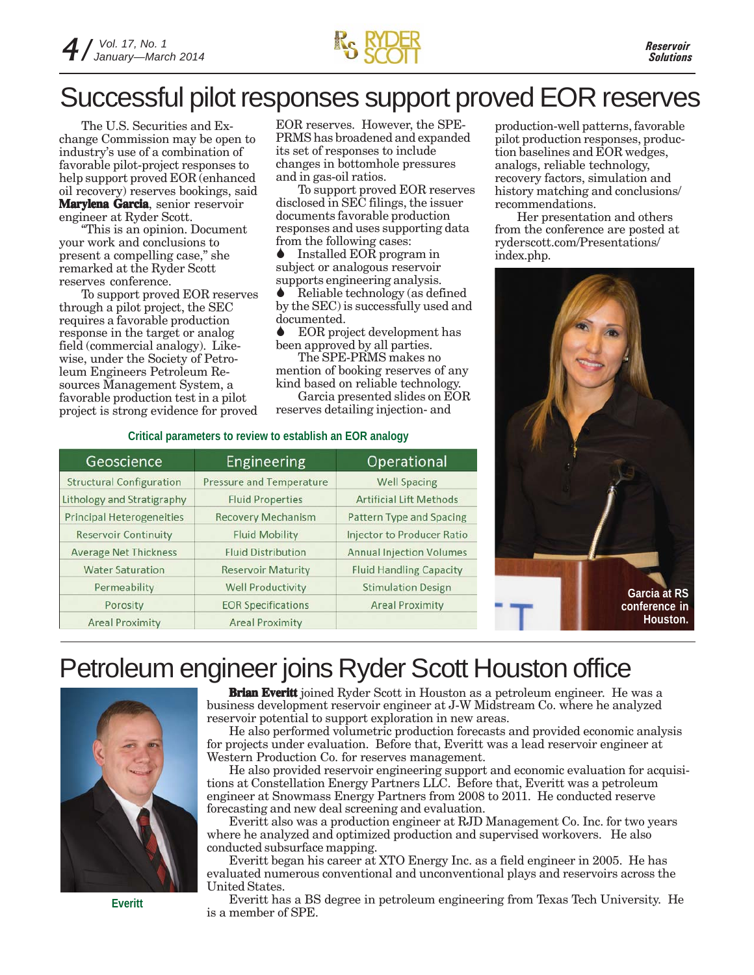### Successful pilot responses support proved EOR reserves

The U.S. Securities and Exchange Commission may be open to industry's use of a combination of favorable pilot-project responses to help support proved EOR (enhanced oil recovery) reserves bookings, said **Marylena Garcia**, senior reservoir engineer at Ryder Scott.

"This is an opinion. Document your work and conclusions to present a compelling case," she remarked at the Ryder Scott reserves conference.

To support proved EOR reserves through a pilot project, the SEC requires a favorable production response in the target or analog field (commercial analogy). Likewise, under the Society of Petroleum Engineers Petroleum Resources Management System, a favorable production test in a pilot project is strong evidence for proved

EOR reserves. However, the SPE-PRMS has broadened and expanded its set of responses to include changes in bottomhole pressures and in gas-oil ratios.

To support proved EOR reserves disclosed in SEC filings, the issuer documents favorable production responses and uses supporting data from the following cases:

Installed EOR program in subject or analogous reservoir supports engineering analysis.

Reliable technology (as defined by the SEC) is successfully used and documented.<br>▲ EOR pro

EOR project development has been approved by all parties.

The SPE-PRMS makes no mention of booking reserves of any kind based on reliable technology.

Garcia presented slides on EOR reserves detailing injection- and

### **Critical parameters to review to establish an EOR analogy**

| Geoscience                        | Engineering                     | Operational                       |
|-----------------------------------|---------------------------------|-----------------------------------|
| <b>Structural Configuration</b>   | <b>Pressure and Temperature</b> | <b>Well Spacing</b>               |
| <b>Lithology and Stratigraphy</b> | <b>Fluid Properties</b>         | <b>Artificial Lift Methods</b>    |
| <b>Principal Heterogeneities</b>  | <b>Recovery Mechanism</b>       | Pattern Type and Spacing          |
| <b>Reservoir Continuity</b>       | <b>Fluid Mobility</b>           | <b>Injector to Producer Ratio</b> |
| <b>Average Net Thickness</b>      | <b>Fluid Distribution</b>       | <b>Annual Injection Volumes</b>   |
| <b>Water Saturation</b>           | <b>Reservoir Maturity</b>       | <b>Fluid Handling Capacity</b>    |
| Permeability                      | <b>Well Productivity</b>        | <b>Stimulation Design</b>         |
| Porosity                          | <b>EOR Specifications</b>       | <b>Areal Proximity</b>            |
| <b>Areal Proximity</b>            | <b>Areal Proximity</b>          |                                   |

production-well patterns, favorable pilot production responses, production baselines and EOR wedges, analogs, reliable technology, recovery factors, simulation and history matching and conclusions/ recommendations.

Her presentation and others from the conference are posted at ryderscott.com/Presentations/ index.php.



### Petroleum engineer joins Ryder Scott Houston office



**Brian Everitt** joined Ryder Scott in Houston as a petroleum engineer. He was a business development reservoir engineer at J-W Midstream Co. where he analyzed reservoir potential to support exploration in new areas.

He also performed volumetric production forecasts and provided economic analysis for projects under evaluation. Before that, Everitt was a lead reservoir engineer at Western Production Co. for reserves management.

He also provided reservoir engineering support and economic evaluation for acquisitions at Constellation Energy Partners LLC. Before that, Everitt was a petroleum engineer at Snowmass Energy Partners from 2008 to 2011. He conducted reserve forecasting and new deal screening and evaluation.

Everitt also was a production engineer at RJD Management Co. Inc. for two years where he analyzed and optimized production and supervised workovers. He also conducted subsurface mapping.

Everitt began his career at XTO Energy Inc. as a field engineer in 2005. He has evaluated numerous conventional and unconventional plays and reservoirs across the United States.

Everitt has a BS degree in petroleum engineering from Texas Tech University. He is a member of SPE.

**Everitt**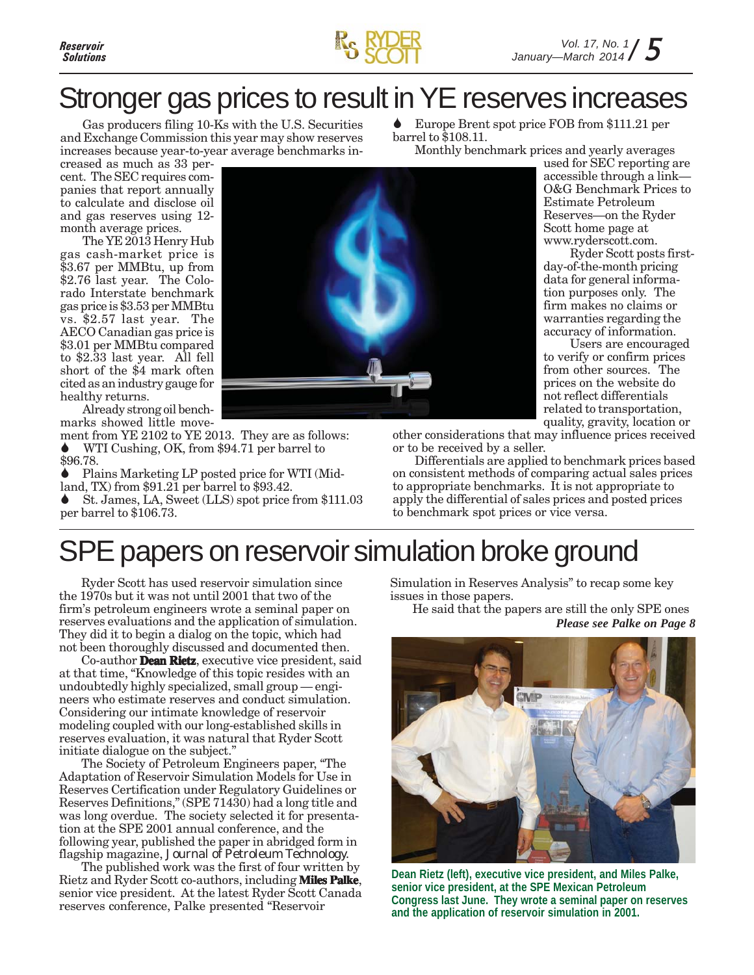



# Stronger gas prices to result in YE reserves increases

Gas producers filing 10-Ks with the U.S. Securities and Exchange Commission this year may show reserves increases because year-to-year average benchmarks in-

creased as much as 33 percent. The SEC requires companies that report annually to calculate and disclose oil and gas reserves using 12 month average prices.

The YE 2013 Henry Hub gas cash-market price is \$3.67 per MMBtu, up from \$2.76 last year. The Colorado Interstate benchmark gas price is \$3.53 per MMBtu vs. \$2.57 last year. The AECO Canadian gas price is \$3.01 per MMBtu compared to \$2.33 last year. All fell short of the \$4 mark often cited as an industry gauge for healthy returns.

Already strong oil benchmarks showed little move-

ment from YE 2102 to YE 2013. They are as follows: WTI Cushing, OK, from \$94.71 per barrel to \$96.78.

Plains Marketing LP posted price for WTI (Midland, TX) from \$91.21 per barrel to \$93.42.

St. James, LA, Sweet (LLS) spot price from \$111.03 per barrel to \$106.73.

Europe Brent spot price FOB from \$111.21 per barrel to \$108.11.

Monthly benchmark prices and yearly averages

used for SEC reporting are accessible through a link— O&G Benchmark Prices to Estimate Petroleum Reserves—on the Ryder Scott home page at www.ryderscott.com.

Ryder Scott posts firstday-of-the-month pricing data for general information purposes only. The firm makes no claims or warranties regarding the accuracy of information.

Users are encouraged to verify or confirm prices from other sources. The prices on the website do not reflect differentials related to transportation, quality, gravity, location or

other considerations that may influence prices received or to be received by a seller.

Differentials are applied to benchmark prices based on consistent methods of comparing actual sales prices to appropriate benchmarks. It is not appropriate to apply the differential of sales prices and posted prices to benchmark spot prices or vice versa.

# SPE papers on reservoir simulation broke ground

Ryder Scott has used reservoir simulation since the 1970s but it was not until 2001 that two of the firm's petroleum engineers wrote a seminal paper on reserves evaluations and the application of simulation. They did it to begin a dialog on the topic, which had not been thoroughly discussed and documented then.

Co-author **Dean Rietz**, executive vice president, said at that time, "Knowledge of this topic resides with an undoubtedly highly specialized, small group — engineers who estimate reserves and conduct simulation. Considering our intimate knowledge of reservoir modeling coupled with our long-established skills in reserves evaluation, it was natural that Ryder Scott initiate dialogue on the subject."

The Society of Petroleum Engineers paper, "The Adaptation of Reservoir Simulation Models for Use in Reserves Certification under Regulatory Guidelines or Reserves Definitions," (SPE 71430) had a long title and was long overdue. The society selected it for presentation at the SPE 2001 annual conference, and the following year, published the paper in abridged form in flagship magazine, *Journal of Petroleum Technology.*

The published work was the first of four written by Rietz and Ryder Scott co-authors, including **Miles Palke**, senior vice president. At the latest Ryder Scott Canada reserves conference, Palke presented "Reservoir

Simulation in Reserves Analysis" to recap some key issues in those papers.

He said that the papers are still the only SPE ones *Please see Palke on Page 8*



**Dean Rietz (left), executive vice president, and Miles Palke, senior vice president, at the SPE Mexican Petroleum Congress last June. They wrote a seminal paper on reserves and the application of reservoir simulation in 2001.**

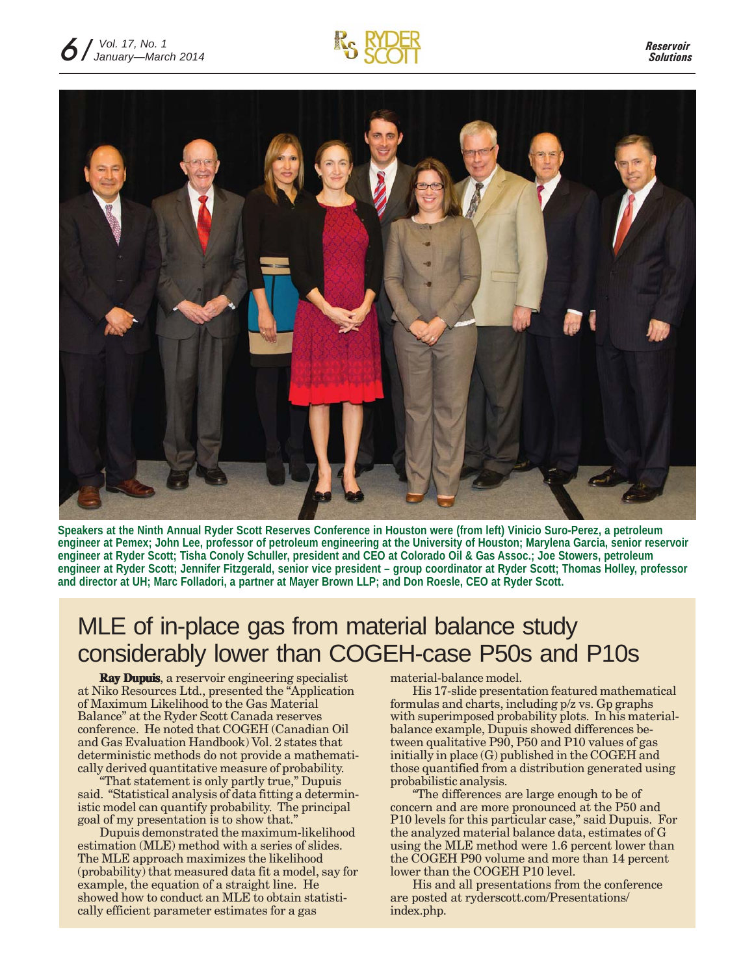



**Speakers at the Ninth Annual Ryder Scott Reserves Conference in Houston were (from left) Vinicio Suro-Perez, a petroleum engineer at Pemex; John Lee, professor of petroleum engineering at the University of Houston; Marylena Garcia, senior reservoir engineer at Ryder Scott; Tisha Conoly Schuller, president and CEO at Colorado Oil & Gas Assoc.; Joe Stowers, petroleum engineer at Ryder Scott; Jennifer Fitzgerald, senior vice president – group coordinator at Ryder Scott; Thomas Holley, professor and director at UH; Marc Folladori, a partner at Mayer Brown LLP; and Don Roesle, CEO at Ryder Scott.**

### MLE of in-place gas from material balance study considerably lower than COGEH-case P50s and P10s

**Ray Dupuis**, a reservoir engineering specialist at Niko Resources Ltd., presented the "Application of Maximum Likelihood to the Gas Material Balance" at the Ryder Scott Canada reserves conference. He noted that COGEH (Canadian Oil and Gas Evaluation Handbook) Vol. 2 states that deterministic methods do not provide a mathematically derived quantitative measure of probability.

"That statement is only partly true," Dupuis said. "Statistical analysis of data fitting a deterministic model can quantify probability. The principal goal of my presentation is to show that."

Dupuis demonstrated the maximum-likelihood estimation (MLE) method with a series of slides. The MLE approach maximizes the likelihood (probability) that measured data fit a model, say for example, the equation of a straight line. He showed how to conduct an MLE to obtain statistically efficient parameter estimates for a gas

material-balance model.

His 17-slide presentation featured mathematical formulas and charts, including p/z vs. Gp graphs with superimposed probability plots. In his materialbalance example, Dupuis showed differences between qualitative P90, P50 and P10 values of gas initially in place (G) published in the COGEH and those quantified from a distribution generated using probabilistic analysis.

"The differences are large enough to be of concern and are more pronounced at the P50 and P10 levels for this particular case," said Dupuis. For the analyzed material balance data, estimates of G using the MLE method were 1.6 percent lower than the COGEH P90 volume and more than 14 percent lower than the COGEH P10 level.

His and all presentations from the conference are posted at ryderscott.com/Presentations/ index.php.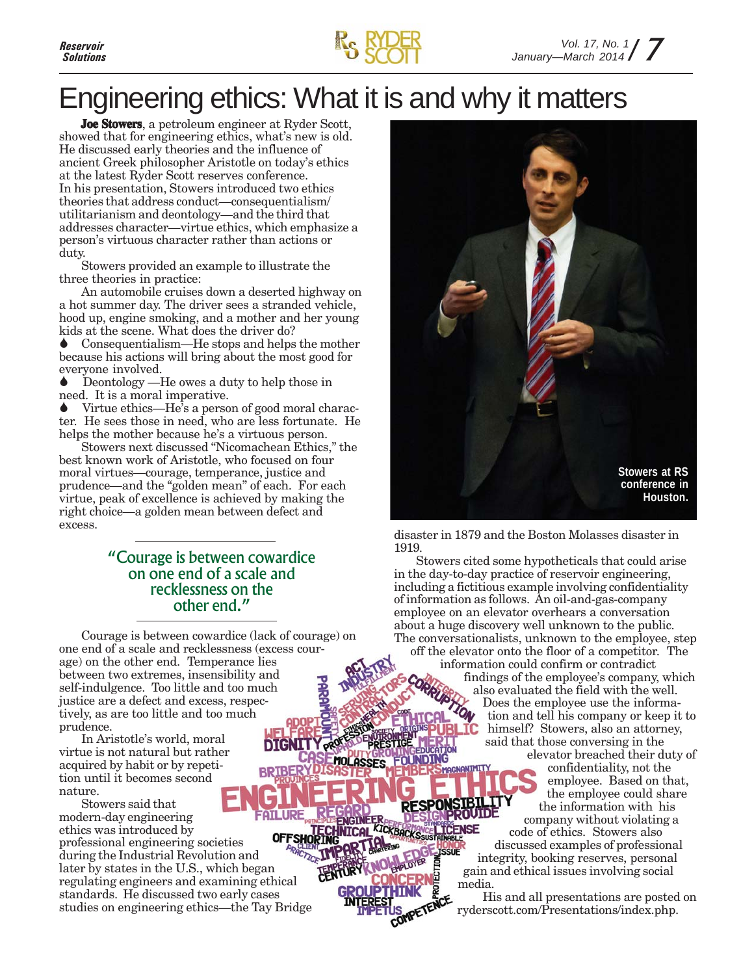



# Engineering ethics: What it is and why it matters

**Joe Stowers**, a petroleum engineer at Ryder Scott, showed that for engineering ethics, what's new is old. He discussed early theories and the influence of ancient Greek philosopher Aristotle on today's ethics at the latest Ryder Scott reserves conference. In his presentation, Stowers introduced two ethics theories that address conduct—consequentialism/ utilitarianism and deontology—and the third that addresses character—virtue ethics, which emphasize a person's virtuous character rather than actions or duty.

Stowers provided an example to illustrate the three theories in practice:

An automobile cruises down a deserted highway on a hot summer day. The driver sees a stranded vehicle, hood up, engine smoking, and a mother and her young kids at the scene. What does the driver do?

Consequentialism—He stops and helps the mother because his actions will bring about the most good for everyone involved.

Deontology —He owes a duty to help those in need. It is a moral imperative.

Virtue ethics—He's a person of good moral character. He sees those in need, who are less fortunate. He helps the mother because he's a virtuous person.

Stowers next discussed "Nicomachean Ethics," the best known work of Aristotle, who focused on four moral virtues—courage, temperance, justice and prudence—and the "golden mean" of each. For each virtue, peak of excellence is achieved by making the right choice—a golden mean between defect and excess.

### "Courage is between cowardice on one end of a scale and recklessness on the other end."

Courage is between cowardice (lack of courage) on one end of a scale and recklessness (excess courage) on the other end. Temperance lies between two extremes, insensibility and self-indulgence. Too little and too much justice are a defect and excess, respectively, as are too little and too much prudence.

In Aristotle's world, moral virtue is not natural but rather acquired by habit or by repetition until it becomes second nature.

Stowers said that modern-day engineering ethics was introduced by **OFFSHOP** professional engineering societies during the Industrial Revolution and later by states in the U.S., which began regulating engineers and examining ethical standards. He discussed two early cases studies on engineering ethics—the Tay Bridge



disaster in 1879 and the Boston Molasses disaster in 1919.

Stowers cited some hypotheticals that could arise in the day-to-day practice of reservoir engineering, including a fictitious example involving confidentiality of information as follows. An oil-and-gas-company employee on an elevator overhears a conversation about a huge discovery well unknown to the public. The conversationalists, unknown to the employee, step off the elevator onto the floor of a competitor. The information could confirm or contradict

findings of the employee's company, which also evaluated the field with the well. Does the employee use the information and tell his company or keep it to himself? Stowers, also an attorney, said that those conversing in the elevator breached their duty of

confidentiality, not the employee. Based on that, the employee could share the information with his company without violating a code of ethics. Stowers also discussed examples of professional integrity, booking reserves, personal gain and ethical issues involving social

His and all presentations are posted on ryderscott.com/Presentations/index.php.

media.

נכואו וח

**RESPO** 

KICKBACKS